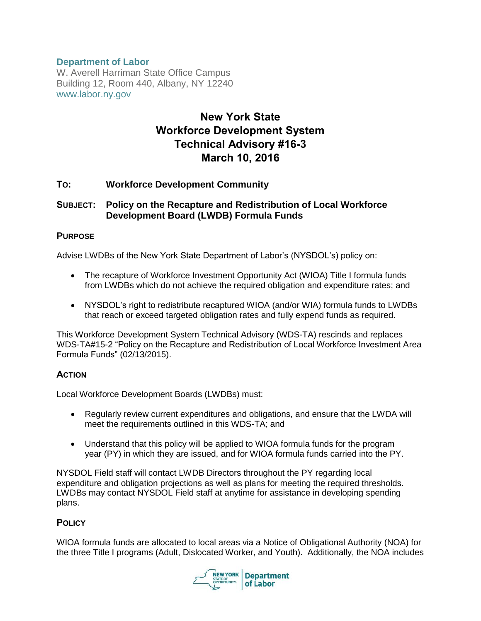# **Department of Labor**

W. Averell Harriman State Office Campus Building 12, Room 440, Albany, NY 12240 www.labor.ny.gov

# **New York State Workforce Development System Technical Advisory #16-3 March 10, 2016**

## **TO: Workforce Development Community**

## **SUBJECT: Policy on the Recapture and Redistribution of Local Workforce Development Board (LWDB) Formula Funds**

#### **PURPOSE**

Advise LWDBs of the New York State Department of Labor's (NYSDOL's) policy on:

- The recapture of Workforce Investment Opportunity Act (WIOA) Title I formula funds from LWDBs which do not achieve the required obligation and expenditure rates; and
- NYSDOL's right to redistribute recaptured WIOA (and/or WIA) formula funds to LWDBs that reach or exceed targeted obligation rates and fully expend funds as required.

This Workforce Development System Technical Advisory (WDS-TA) rescinds and replaces WDS-TA#15-2 "Policy on the Recapture and Redistribution of Local Workforce Investment Area Formula Funds" (02/13/2015).

## **ACTION**

Local Workforce Development Boards (LWDBs) must:

- Regularly review current expenditures and obligations, and ensure that the LWDA will meet the requirements outlined in this WDS-TA; and
- Understand that this policy will be applied to WIOA formula funds for the program year (PY) in which they are issued, and for WIOA formula funds carried into the PY.

NYSDOL Field staff will contact LWDB Directors throughout the PY regarding local expenditure and obligation projections as well as plans for meeting the required thresholds. LWDBs may contact NYSDOL Field staff at anytime for assistance in developing spending plans.

## **POLICY**

WIOA formula funds are allocated to local areas via a Notice of Obligational Authority (NOA) for the three Title I programs (Adult, Dislocated Worker, and Youth). Additionally, the NOA includes

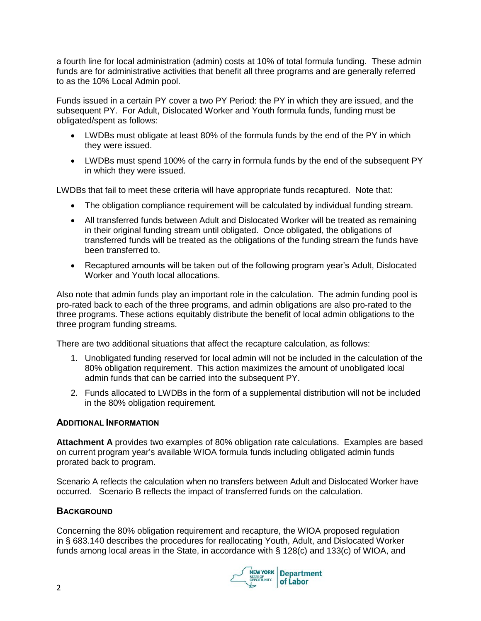a fourth line for local administration (admin) costs at 10% of total formula funding. These admin funds are for administrative activities that benefit all three programs and are generally referred to as the 10% Local Admin pool.

Funds issued in a certain PY cover a two PY Period: the PY in which they are issued, and the subsequent PY. For Adult, Dislocated Worker and Youth formula funds, funding must be obligated/spent as follows:

- LWDBs must obligate at least 80% of the formula funds by the end of the PY in which they were issued.
- LWDBs must spend 100% of the carry in formula funds by the end of the subsequent PY in which they were issued.

LWDBs that fail to meet these criteria will have appropriate funds recaptured. Note that:

- The obligation compliance requirement will be calculated by individual funding stream.
- All transferred funds between Adult and Dislocated Worker will be treated as remaining in their original funding stream until obligated. Once obligated, the obligations of transferred funds will be treated as the obligations of the funding stream the funds have been transferred to.
- Recaptured amounts will be taken out of the following program year's Adult, Dislocated Worker and Youth local allocations.

Also note that admin funds play an important role in the calculation. The admin funding pool is pro-rated back to each of the three programs, and admin obligations are also pro-rated to the three programs. These actions equitably distribute the benefit of local admin obligations to the three program funding streams.

There are two additional situations that affect the recapture calculation, as follows:

- 1. Unobligated funding reserved for local admin will not be included in the calculation of the 80% obligation requirement. This action maximizes the amount of unobligated local admin funds that can be carried into the subsequent PY.
- 2. Funds allocated to LWDBs in the form of a supplemental distribution will not be included in the 80% obligation requirement.

## **ADDITIONAL INFORMATION**

**Attachment A** provides two examples of 80% obligation rate calculations. Examples are based on current program year's available WIOA formula funds including obligated admin funds prorated back to program.

Scenario A reflects the calculation when no transfers between Adult and Dislocated Worker have occurred. Scenario B reflects the impact of transferred funds on the calculation.

## **BACKGROUND**

Concerning the 80% obligation requirement and recapture, the WIOA proposed regulation in § 683.140 describes the procedures for reallocating Youth, Adult, and Dislocated Worker funds among local areas in the State, in accordance with § 128(c) and 133(c) of WIOA, and